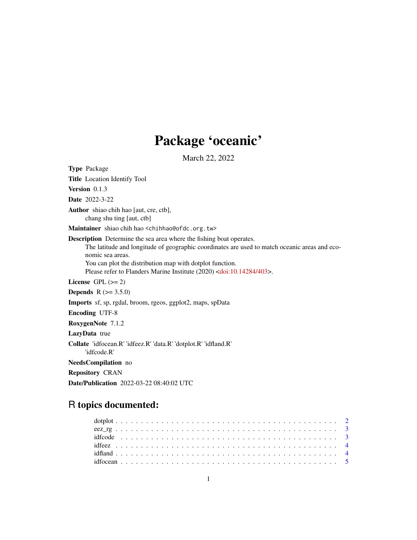# Package 'oceanic'

March 22, 2022

Type Package Title Location Identify Tool Version 0.1.3 Date 2022-3-22 Author shiao chih hao [aut, cre, ctb], chang shu ting [aut, ctb] Maintainer shiao chih hao <chihhao@ofdc.org.tw> Description Determine the sea area where the fishing boat operates. The latitude and longitude of geographic coordinates are used to match oceanic areas and economic sea areas. You can plot the distribution map with dotplot function. Please refer to Flanders Marine Institute (2020) [<doi:10.14284/403>](https://doi.org/10.14284/403). License GPL  $(>= 2)$ **Depends** R  $(>= 3.5.0)$ Imports sf, sp, rgdal, broom, rgeos, ggplot2, maps, spData Encoding UTF-8 RoxygenNote 7.1.2 LazyData true Collate 'idfocean.R' 'idfeez.R' 'data.R' 'dotplot.R' 'idfland.R' 'idfcode.R' NeedsCompilation no Repository CRAN

Date/Publication 2022-03-22 08:40:02 UTC

# R topics documented: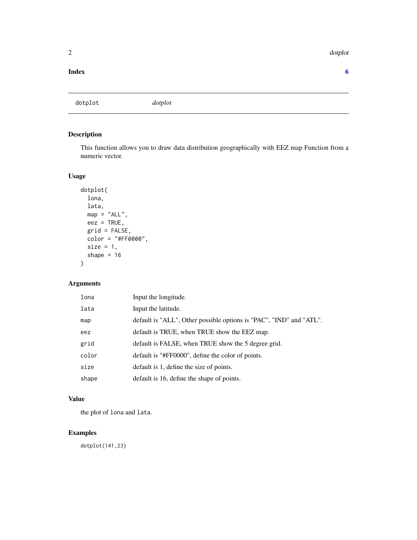#### <span id="page-1-0"></span>2 dotplot and the contract of the contract of the contract of the contract of the contract of the contract of the contract of the contract of the contract of the contract of the contract of the contract of the contract of

#### **Index** [6](#page-5-0) **6**

dotplot *dotplot*

#### Description

This function allows you to draw data distribution geographically with EEZ map Function from a numeric vector.

#### Usage

```
dotplot(
lona,
lata,
map = "ALL",eez = TRUE,grid = FALSE,
color = "#FF0000",
size = 1,shape = 16
```
#### Arguments

)

| lona  | Input the longitude.                                                |
|-------|---------------------------------------------------------------------|
| lata  | Input the latitude.                                                 |
| map   | default is "ALL", Other possible options is "PAC", "IND" and "ATL". |
| eez   | default is TRUE, when TRUE show the EEZ map.                        |
| grid  | default is FALSE, when TRUE show the 5 degree grid.                 |
| color | default is "#FF0000", define the color of points.                   |
| size  | default is 1, define the size of points.                            |
| shape | default is 16, define the shape of points.                          |

#### Value

the plot of lona and lata.

#### Examples

dotplot(141,23)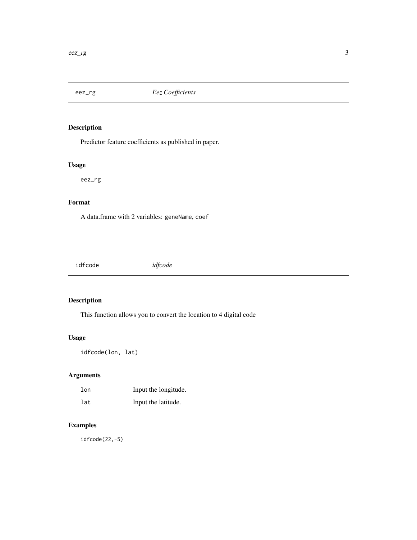<span id="page-2-0"></span>

#### Description

Predictor feature coefficients as published in paper.

#### Usage

eez\_rg

#### Format

A data.frame with 2 variables: geneName, coef

idfcode *idfcode*

#### Description

This function allows you to convert the location to 4 digital code

#### Usage

idfcode(lon, lat)

#### Arguments

| lon | Input the longitude. |
|-----|----------------------|
| lat | Input the latitude.  |

#### Examples

idfcode(22,-5)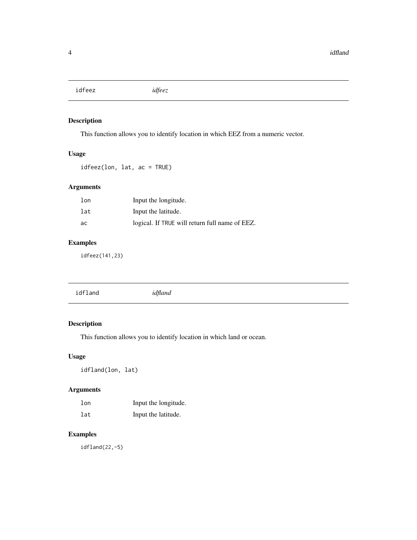<span id="page-3-0"></span>idfeez *idfeez*

#### Description

This function allows you to identify location in which EEZ from a numeric vector.

#### Usage

idfeez(lon, lat, ac = TRUE)

#### Arguments

| lon | Input the longitude.                           |
|-----|------------------------------------------------|
| lat | Input the latitude.                            |
| ac  | logical. If TRUE will return full name of EEZ. |

### Examples

idfeez(141,23)

#### Description

This function allows you to identify location in which land or ocean.

#### Usage

idfland(lon, lat)

#### Arguments

| $1$ on | Input the longitude. |
|--------|----------------------|
| lat    | Input the latitude.  |

#### Examples

idfland(22,-5)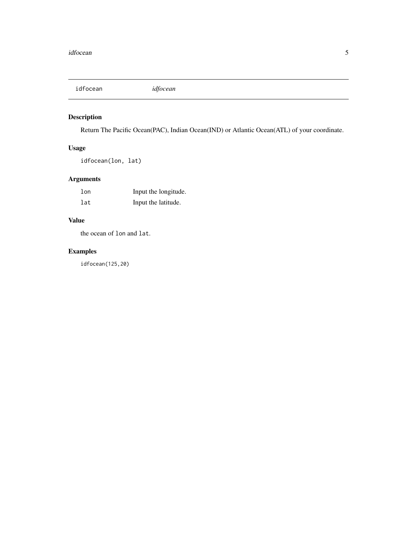<span id="page-4-0"></span>idfocean *idfocean*

#### Description

Return The Pacific Ocean(PAC), Indian Ocean(IND) or Atlantic Ocean(ATL) of your coordinate.

#### Usage

```
idfocean(lon, lat)
```
#### Arguments

| 1 <sub>on</sub> | Input the longitude. |
|-----------------|----------------------|
| lat             | Input the latitude.  |

#### Value

the ocean of lon and lat.

## Examples

idfocean(125,20)